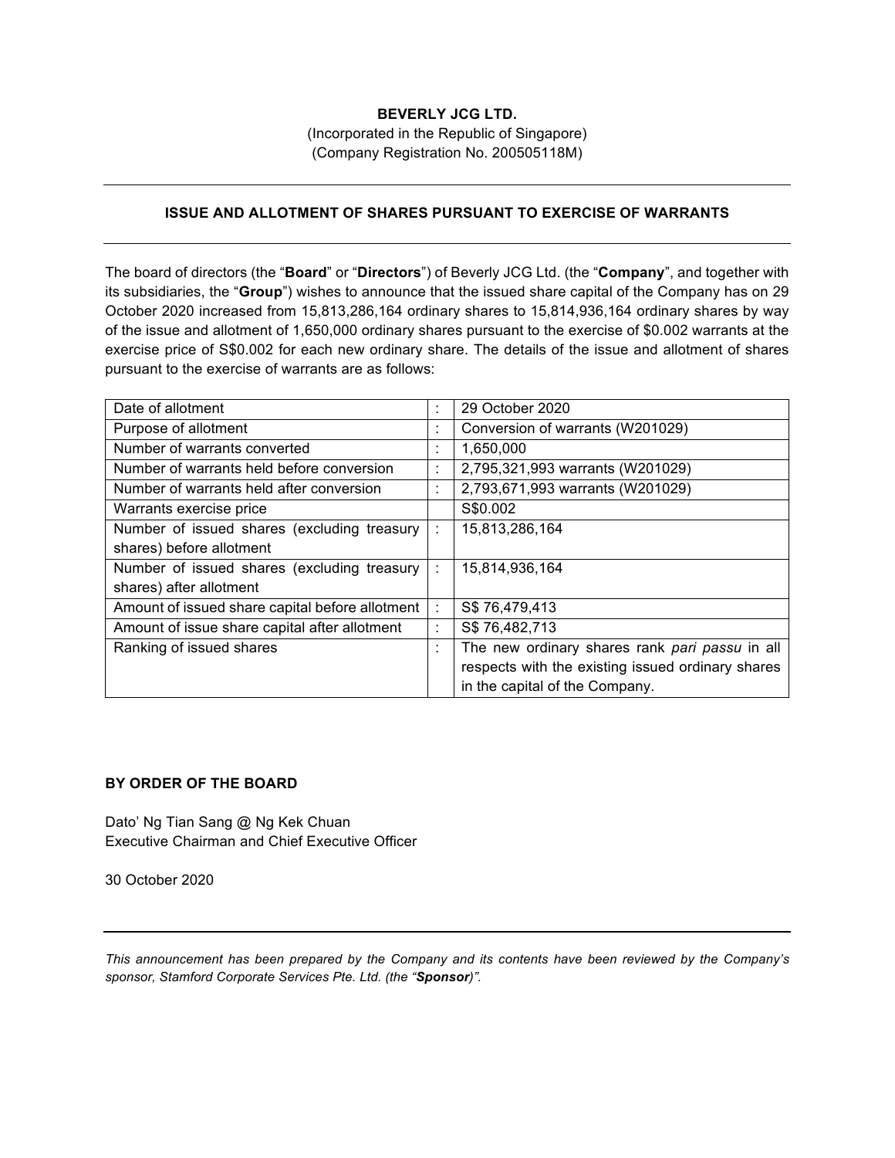## **BEVERLY JCG LTD.**

(Incorporated in the Republic of Singapore) (Company Registration No. 200505118M)

## **ISSUE AND ALLOTMENT OF SHARES PURSUANT TO EXERCISE OF WARRANTS**

The board of directors (the "**Board**" or "**Directors**") of Beverly JCG Ltd. (the "**Company**", and together with its subsidiaries, the "**Group**") wishes to announce that the issued share capital of the Company has on 29 October 2020 increased from 15,813,286,164 ordinary shares to 15,814,936,164 ordinary shares by way of the issue and allotment of 1,650,000 ordinary shares pursuant to the exercise of \$0.002 warrants at the exercise price of S\$0.002 for each new ordinary share. The details of the issue and allotment of shares pursuant to the exercise of warrants are as follows:

| Date of allotment                               | ٠                 | 29 October 2020                                   |
|-------------------------------------------------|-------------------|---------------------------------------------------|
| Purpose of allotment                            | $\mathbf{r}$      | Conversion of warrants (W201029)                  |
| Number of warrants converted                    | ٠<br>×.           | 1,650,000                                         |
| Number of warrants held before conversion       | ٠<br>×.           | 2,795,321,993 warrants (W201029)                  |
| Number of warrants held after conversion        | ٠<br>$\mathbf{r}$ | 2,793,671,993 warrants (W201029)                  |
| Warrants exercise price                         |                   | S\$0.002                                          |
| Number of issued shares (excluding treasury     | ÷                 | 15,813,286,164                                    |
| shares) before allotment                        |                   |                                                   |
| Number of issued shares (excluding treasury     | ÷                 | 15,814,936,164                                    |
| shares) after allotment                         |                   |                                                   |
| Amount of issued share capital before allotment | ÷                 | S\$76,479,413                                     |
| Amount of issue share capital after allotment   | ٠<br>×.           | S\$76,482,713                                     |
| Ranking of issued shares                        | ÷                 | The new ordinary shares rank pari passu in all    |
|                                                 |                   | respects with the existing issued ordinary shares |
|                                                 |                   | in the capital of the Company.                    |

## **BY ORDER OF THE BOARD**

Dato' Ng Tian Sang @ Ng Kek Chuan Executive Chairman and Chief Executive Officer

30 October 2020

*This announcement has been prepared by the Company and its contents have been reviewed by the Company's sponsor, Stamford Corporate Services Pte. Ltd. (the "Sponsor)".*